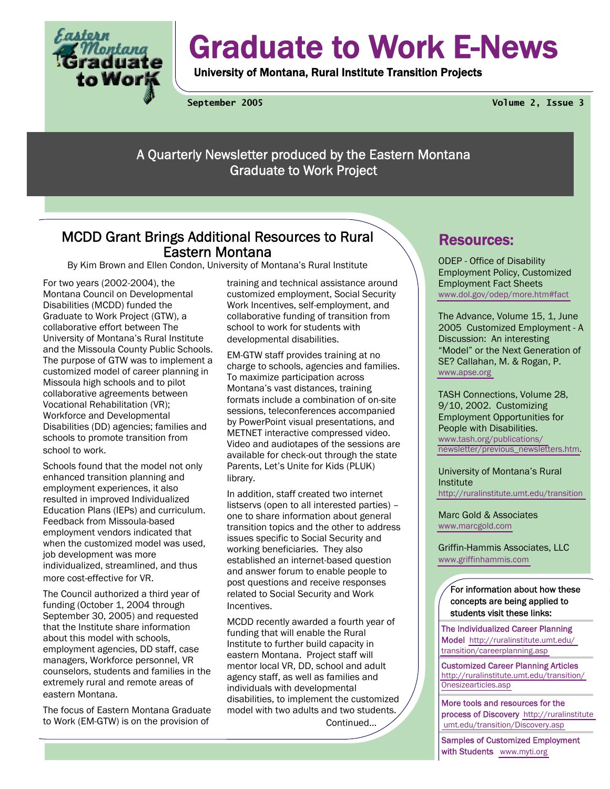

# Graduate to Work E-News

University of Montana, Rural Institute Transition Projects

**September 2005 Volume 2, Issue 3** 

A Quarterly Newsletter produced by the Eastern Montana Graduate to Work Project

## MCDD Grant Brings Additional Resources to Rural Eastern Montana

By Kim Brown and Ellen Condon, University of Montana's Rural Institute

For two years (2002-2004), the Montana Council on Developmental Disabilities (MCDD) funded the Graduate to Work Project (GTW), a collaborative effort between The University of Montana's Rural Institute and the Missoula County Public Schools. The purpose of GTW was to implement a customized model of career planning in Missoula high schools and to pilot collaborative agreements between Vocational Rehabilitation (VR); Workforce and Developmental Disabilities (DD) agencies; families and schools to promote transition from school to work.

Schools found that the model not only enhanced transition planning and employment experiences, it also resulted in improved Individualized Education Plans (IEPs) and curriculum. Feedback from Missoula-based employment vendors indicated that when the customized model was used, job development was more individualized, streamlined, and thus more cost-effective for VR.

The Council authorized a third year of funding (October 1, 2004 through September 30, 2005) and requested that the Institute share information about this model with schools, employment agencies, DD staff, case managers, Workforce personnel, VR counselors, students and families in the extremely rural and remote areas of eastern Montana.

The focus of Eastern Montana Graduate to Work (EM-GTW) is on the provision of

training and technical assistance around customized employment, Social Security Work Incentives, self-employment, and collaborative funding of transition from school to work for students with developmental disabilities.

EM-GTW staff provides training at no charge to schools, agencies and families. To maximize participation across Montana's vast distances, training formats include a combination of on-site sessions, teleconferences accompanied by PowerPoint visual presentations, and METNET interactive compressed video. Video and audiotapes of the sessions are available for check-out through the state Parents, Let's Unite for Kids (PLUK) library.

In addition, staff created two internet listservs (open to all interested parties) – one to share information about general transition topics and the other to address issues specific to Social Security and working beneficiaries. They also established an internet-based question and answer forum to enable people to post questions and receive responses related to Social Security and Work Incentives.

MCDD recently awarded a fourth year of funding that will enable the Rural Institute to further build capacity in eastern Montana. Project staff will mentor local VR, DD, school and adult agency staff, as well as families and individuals with developmental disabilities, to implement the customized model with two adults and two students.

Continued...

## Resources:

ODEP - Office of Disability Employment Policy, Customized Employment Fact Sheets [www.dol.gov/odep/more.htm#fact](http://www.dol.gov/odep/more.htm#fact) 

The Advance, Volume 15, 1, June 2005 Customized Employment - A Discussion: An interesting "Model" or the Next Generation of SE? Callahan, M. & Rogan, P. [www.apse.org](http://www.apse.org) 

TASH Connections, Volume 28, 9/10, 2002. Customizing Employment Opportunities for People with Disabilities. [www.tash.org/publications/](http://www.tash.org/publications/newsletter/previous_newsletters.htm) [newsletter/previous\\_newsletters.htm.](http://www.tash.org/publications/newsletter/previous_newsletters.htm)

University of Montana's Rural Institute <http://ruralinstitute.umt.edu/transition>

Marc Gold & Associates [www.marcgold.com](http://www.marcgold.com) 

Griffin-Hammis Associates, LLC [www.griffinhammis.com](http://www.griffinhammis.com)

For information about how these concepts are being applied to students visit these links:

The Individualized Career Planning Model [http://ruralinstitute.umt.edu/](http://ruralinstitute.umt.edu/transition/careerplanning.asp) [transition/careerplanning.asp](http://ruralinstitute.umt.edu/transition/careerplanning.asp) 

Customized Career Planning Articles [http://ruralinstitute.umt.edu/transition/](http://ruralinstitute.umt.edu/transition/Onesizearticles.asp) [Onesizearticles.asp](http://ruralinstitute.umt.edu/transition/Onesizearticles.asp) 

More tools and resources for the process of Discovery [http://ruralinstitute](http://ruralinstitute.umt.edu/transition/Discovery.asp)   [umt.edu/transition/Discovery.asp](http://ruralinstitute.umt.edu/transition/Discovery.asp) 

Samples of Customized Employment with Students [www.myti.org](http://www.myti.org)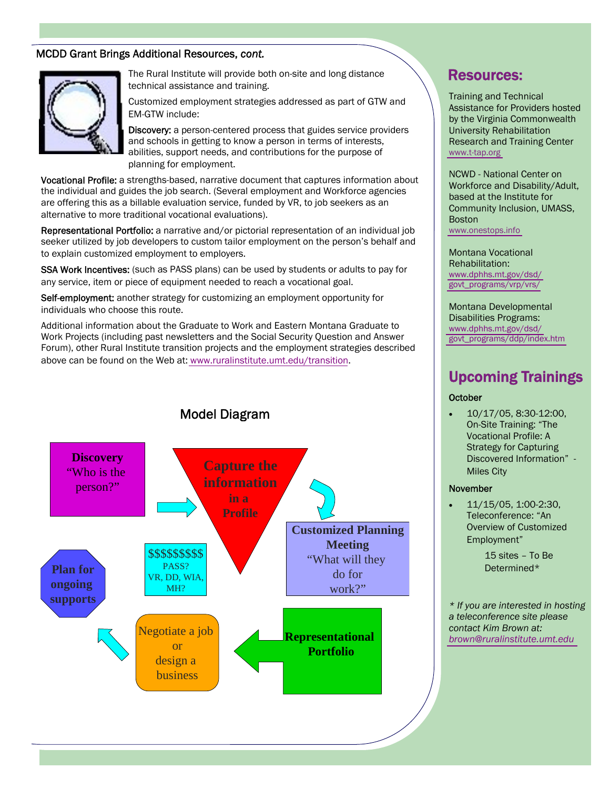#### MCDD Grant Brings Additional Resources, *cont.*



The Rural Institute will provide both on-site and long distance technical assistance and training.

Customized employment strategies addressed as part of GTW and EM-GTW include:

Discovery: a person-centered process that guides service providers and schools in getting to know a person in terms of interests, abilities, support needs, and contributions for the purpose of planning for employment.

Vocational Profile: a strengths-based, narrative document that captures information about the individual and guides the job search. (Several employment and Workforce agencies are offering this as a billable evaluation service, funded by VR, to job seekers as an alternative to more traditional vocational evaluations).

Representational Portfolio: a narrative and/or pictorial representation of an individual job seeker utilized by job developers to custom tailor employment on the person's behalf and to explain customized employment to employers.

SSA Work Incentives: (such as PASS plans) can be used by students or adults to pay for any service, item or piece of equipment needed to reach a vocational goal.

Self-employment: another strategy for customizing an employment opportunity for individuals who choose this route.

Additional information about the Graduate to Work and Eastern Montana Graduate to Work Projects (including past newsletters and the Social Security Question and Answer Forum), other Rural Institute transition projects and the employment strategies described above can be found on the Web at: [www.ruralinstitute.umt.edu/transition](http://ruralinstitute.umt.edu/transition).



### Resources:

Training and Technical Assistance for Providers hosted by the Virginia Commonwealth University Rehabilitation Research and Training Center [www.t-tap.org](http://www.t-tap.org)

NCWD - National Center on Workforce and Disability/Adult, based at the Institute for Community Inclusion, UMASS, Boston [www.onestops.info](http://www.onestops.info) 

Montana Vocational Rehabilitation: [www.dphhs.mt.gov/dsd/](http://www.dphhs.mt.gov/dsd/govt_programs/vrp/vrs/) [govt\\_programs/vrp/vrs/](http://www.dphhs.mt.gov/dsd/govt_programs/vrp/vrs/) 

Montana Developmental Disabilities Programs: [www.dphhs.mt.gov/dsd/](http://www.dphhs.mt.gov/dsd/govt_programs/ddp/index.htm) [govt\\_programs/ddp/index.htm](http://www.dphhs.mt.gov/dsd/govt_programs/ddp/index.htm)

# Upcoming Trainings

#### **October**

• 10/17/05, 8:30-12:00, On-Site Training: "The Vocational Profile: A Strategy for Capturing Discovered Information" - Miles City

#### November

 $\bullet$  11/15/05, 1:00-2:30, Teleconference: "An Overview of Customized Employment"

> 15 sites – To Be Determined\*

*\* If you are interested in hosting a teleconference site please contact Kim Brown at: [brown@ruralinstitute.umt.edu](mailto: brown@ruralinstitute.umt.edu)* 

## Model Diagram